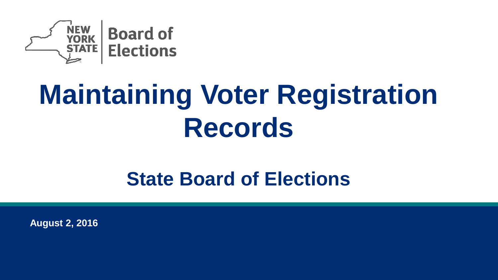

# **Maintaining Voter Registration Records**

### **State Board of Elections**

**August 2, 2016**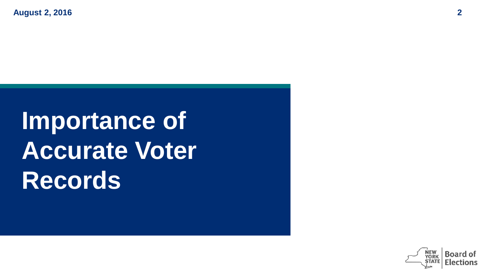**August 2, 2016 2**

## **Importance of Accurate Voter Records**

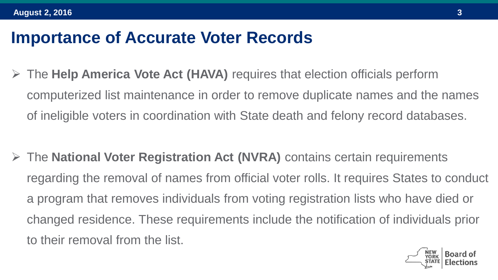#### **Importance of Accurate Voter Records**

 The **Help America Vote Act (HAVA)** requires that election officials perform computerized list maintenance in order to remove duplicate names and the names of ineligible voters in coordination with State death and felony record databases.

 The **National Voter Registration Act (NVRA)** contains certain requirements regarding the removal of names from official voter rolls. It requires States to conduct a program that removes individuals from voting registration lists who have died or changed residence. These requirements include the notification of individuals prior to their removal from the list.

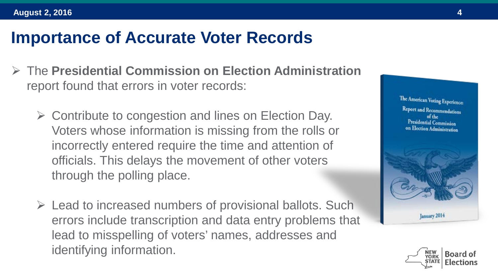#### **Importance of Accurate Voter Records**

- The **Presidential Commission on Election Administration** report found that errors in voter records:
	- $\triangleright$  Contribute to congestion and lines on Election Day. Voters whose information is missing from the rolls or incorrectly entered require the time and attention of officials. This delays the movement of other voters through the polling place.
	- $\triangleright$  Lead to increased numbers of provisional ballots. Such errors include transcription and data entry problems that lead to misspelling of voters' names, addresses and identifying information.



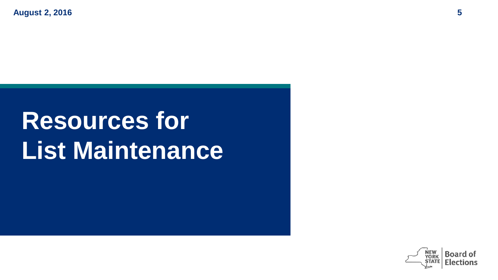**August 2, 2016 5**

### **Resources for List Maintenance**

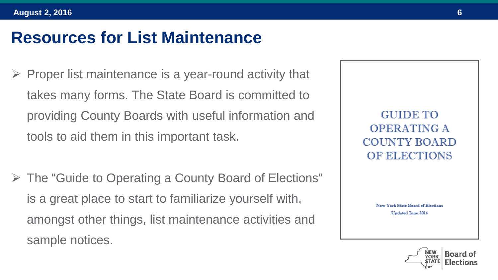- Proper list maintenance is a year-round activity that takes many forms. The State Board is committed to providing County Boards with useful information and tools to aid them in this important task.
- The "Guide to Operating a County Board of Elections" is a great place to start to familiarize yourself with, amongst other things, list maintenance activities and sample notices.

**GUIDE TO OPERATING A COUNTY BOARD** OF ELECTIONS

> New York State Board of Elections **Updated June 2014**

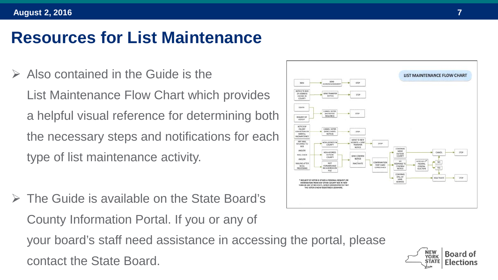- $\triangleright$  Also contained in the Guide is the List Maintenance Flow Chart which provides a helpful visual reference for determining both the necessary steps and notifications for each type of list maintenance activity.
- The Guide is available on the State Board's County Information Portal. If you or any of your board's staff need assistance in accessing the portal, please contact the State Board.



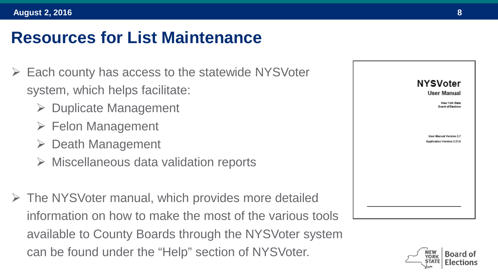- Each county has access to the statewide NYSVoter system, which helps facilitate:
	- $\triangleright$  Duplicate Management
	- $\triangleright$  Felon Management
	- $\triangleright$  Death Management
	- $\triangleright$  Miscellaneous data validation reports
- $\triangleright$  The NYSVoter manual, which provides more detailed information on how to make the most of the various tools available to County Boards through the NYSVoter system can be found under the "Help" section of NYSVoter.



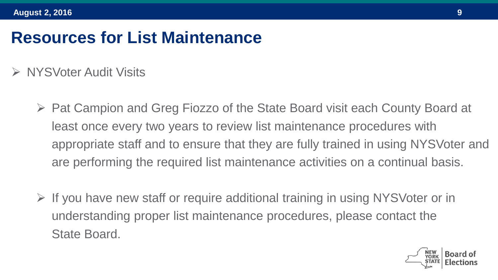- **► NYSVoter Audit Visits** 
	- ▶ Pat Campion and Greg Fiozzo of the State Board visit each County Board at least once every two years to review list maintenance procedures with appropriate staff and to ensure that they are fully trained in using NYSVoter and are performing the required list maintenance activities on a continual basis.
	- $\triangleright$  If you have new staff or require additional training in using NYSVoter or in understanding proper list maintenance procedures, please contact the State Board.